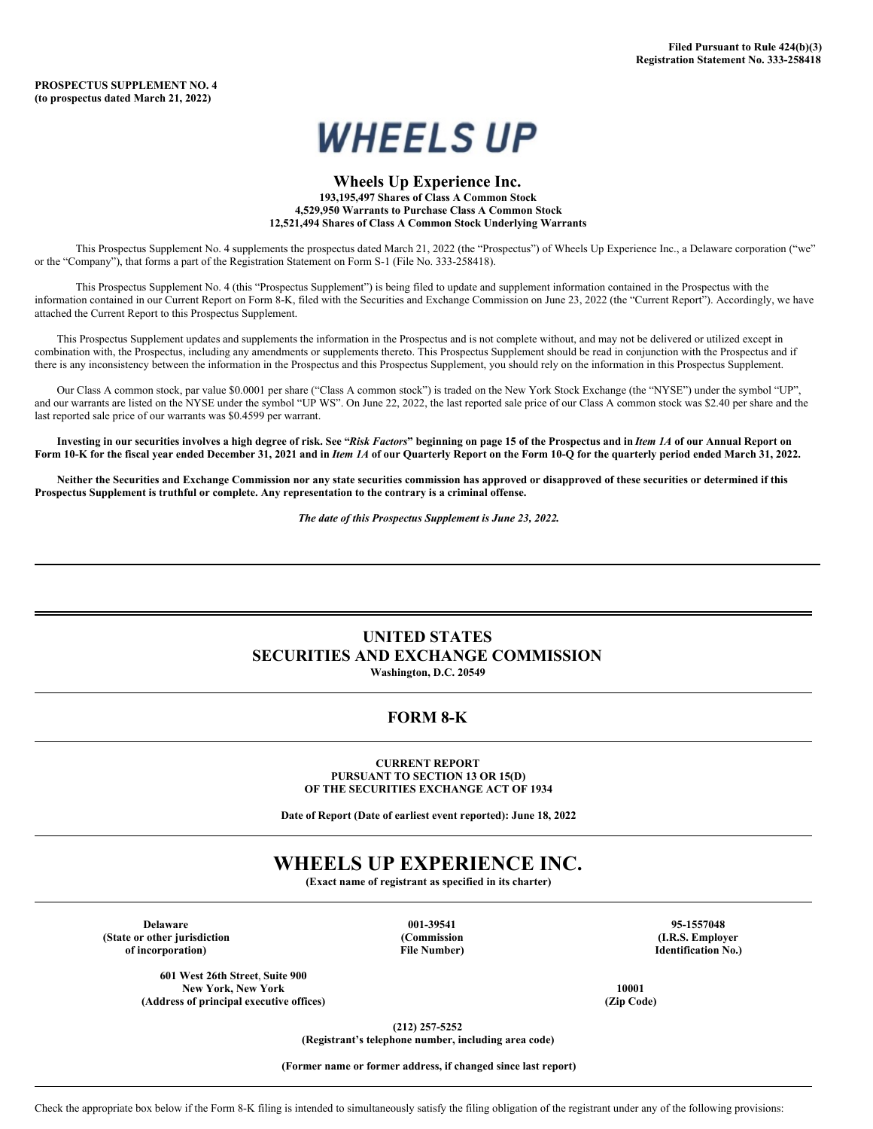

### **Wheels Up Experience Inc. 193,195,497 Shares of Class A Common Stock 4,529,950 Warrants to Purchase Class A Common Stock 12,521,494 Shares of Class A Common Stock Underlying Warrants**

This Prospectus Supplement No. 4 supplements the prospectus dated March 21, 2022 (the "Prospectus") of Wheels Up Experience Inc., a Delaware corporation ("we" or the "Company"), that forms a part of the Registration Statement on Form S-1 (File No. 333-258418).

This Prospectus Supplement No. 4 (this "Prospectus Supplement") is being filed to update and supplement information contained in the Prospectus with the information contained in our Current Report on Form 8-K, filed with the Securities and Exchange Commission on June 23, 2022 (the "Current Report"). Accordingly, we have attached the Current Report to this Prospectus Supplement.

This Prospectus Supplement updates and supplements the information in the Prospectus and is not complete without, and may not be delivered or utilized except in combination with, the Prospectus, including any amendments or supplements thereto. This Prospectus Supplement should be read in conjunction with the Prospectus and if there is any inconsistency between the information in the Prospectus and this Prospectus Supplement, you should rely on the information in this Prospectus Supplement.

Our Class A common stock, par value \$0.0001 per share ("Class A common stock") is traded on the New York Stock Exchange (the "NYSE") under the symbol "UP", and our warrants are listed on the NYSE under the symbol "UP WS". On June 22, 2022, the last reported sale price of our Class A common stock was \$2.40 per share and the last reported sale price of our warrants was \$0.4599 per warrant.

Investing in our securities involves a high degree of risk. See "Risk Factors" beginning on page 15 of the Prospectus and in *Item 1A* of our Annual Report on Form 10-K for the fiscal year ended December 31, 2021 and in Item 1A of our Quarterly Report on the Form 10-Q for the quarterly period ended March 31, 2022.

Neither the Securities and Exchange Commission nor any state securities commission has approved or disapproved of these securities or determined if this **Prospectus Supplement is truthful or complete. Any representation to the contrary is a criminal offense.**

*The date of this Prospectus Supplement is June 23, 2022.*

### **UNITED STATES SECURITIES AND EXCHANGE COMMISSION Washington, D.C. 20549**

### **FORM 8-K**

### **CURRENT REPORT PURSUANT TO SECTION 13 OR 15(D) OF THE SECURITIES EXCHANGE ACT OF 1934**

**Date of Report (Date of earliest event reported): June 18, 2022**

### **WHEELS UP EXPERIENCE INC.**

**(Exact name of registrant as specified in its charter)**

**Delaware 001-39541 95-1557048 (State or other jurisdiction (Commission (I.R.S. Employer of incorporation) File Number) Identification No.)**

**601 West 26th Street**, **Suite 900**

 $(A$ ddress of principal executive offices)

**New York, New York 10001**

**(212) 257-5252**

**(Registrant's telephone number, including area code)**

**(Former name or former address, if changed since last report)**

Check the appropriate box below if the Form 8-K filing is intended to simultaneously satisfy the filing obligation of the registrant under any of the following provisions: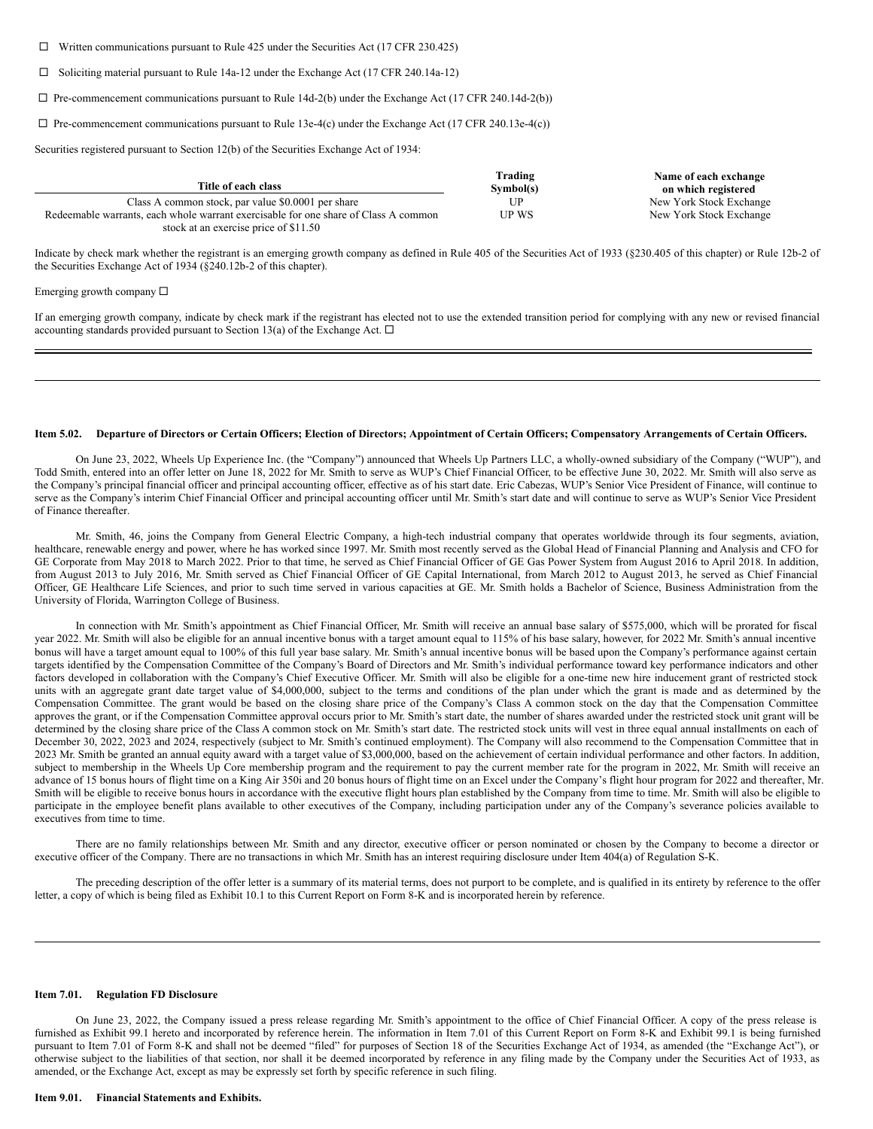$\Box$  Written communications pursuant to Rule 425 under the Securities Act (17 CFR 230.425)

 $\Box$  Soliciting material pursuant to Rule 14a-12 under the Exchange Act (17 CFR 240.14a-12)

 $\Box$  Pre-commencement communications pursuant to Rule 14d-2(b) under the Exchange Act (17 CFR 240.14d-2(b))

 $\Box$  Pre-commencement communications pursuant to Rule 13e-4(c) under the Exchange Act (17 CFR 240.13e-4(c))

Securities registered pursuant to Section 12(b) of the Securities Exchange Act of 1934:

|                                                                                     | Trading   | Name of each exchange   |
|-------------------------------------------------------------------------------------|-----------|-------------------------|
| Title of each class                                                                 | Symbol(s) | on which registered     |
| Class A common stock, par value \$0.0001 per share                                  | UP        | New York Stock Exchange |
| Redeemable warrants, each whole warrant exercisable for one share of Class A common | UP WS     | New York Stock Exchange |
| stock at an exercise price of \$11.50                                               |           |                         |

Indicate by check mark whether the registrant is an emerging growth company as defined in Rule 405 of the Securities Act of 1933 (§230.405 of this chapter) or Rule 12b-2 of the Securities Exchange Act of 1934 (§240.12b-2 of this chapter).

#### Emerging growth company  $\square$

If an emerging growth company, indicate by check mark if the registrant has elected not to use the extended transition period for complying with any new or revised financial accounting standards provided pursuant to Section 13(a) of the Exchange Act.  $\Box$ 

### Item 5.02. Departure of Directors or Certain Officers; Election of Directors; Appointment of Certain Officers; Compensatory Arrangements of Certain Officers.

On June 23, 2022, Wheels Up Experience Inc. (the "Company") announced that Wheels Up Partners LLC, a wholly-owned subsidiary of the Company ("WUP"), and Todd Smith, entered into an offer letter on June 18, 2022 for Mr. Smith to serve as WUP's Chief Financial Officer, to be effective June 30, 2022. Mr. Smith will also serve as the Company's principal financial officer and principal accounting officer, effective as of his start date. Eric Cabezas, WUP's Senior Vice President of Finance, will continue to serve as the Company's interim Chief Financial Officer and principal accounting officer until Mr. Smith's start date and will continue to serve as WUP's Senior Vice President of Finance thereafter.

Mr. Smith, 46, joins the Company from General Electric Company, a high-tech industrial company that operates worldwide through its four segments, aviation, healthcare, renewable energy and power, where he has worked since 1997. Mr. Smith most recently served as the Global Head of Financial Planning and Analysis and CFO for GE Corporate from May 2018 to March 2022. Prior to that time, he served as Chief Financial Officer of GE Gas Power System from August 2016 to April 2018. In addition, from August 2013 to July 2016, Mr. Smith served as Chief Financial Officer of GE Capital International, from March 2012 to August 2013, he served as Chief Financial Officer, GE Healthcare Life Sciences, and prior to such time served in various capacities at GE. Mr. Smith holds a Bachelor of Science, Business Administration from the University of Florida, Warrington College of Business.

In connection with Mr. Smith's appointment as Chief Financial Officer, Mr. Smith will receive an annual base salary of \$575,000, which will be prorated for fiscal year 2022. Mr. Smith will also be eligible for an annual incentive bonus with a target amount equal to 115% of his base salary, however, for 2022 Mr. Smith's annual incentive bonus will have a target amount equal to 100% of this full year base salary. Mr. Smith's annual incentive bonus will be based upon the Company's performance against certain targets identified by the Compensation Committee of the Company's Board of Directors and Mr. Smith's individual performance toward key performance indicators and other factors developed in collaboration with the Company's Chief Executive Officer. Mr. Smith will also be eligible for a one-time new hire inducement grant of restricted stock units with an aggregate grant date target value of \$4,000,000, subject to the terms and conditions of the plan under which the grant is made and as determined by the Compensation Committee. The grant would be based on the closing share price of the Company's Class A common stock on the day that the Compensation Committee approves the grant, or if the Compensation Committee approval occurs prior to Mr. Smith's start date, the number of shares awarded under the restricted stock unit grant will be determined by the closing share price of the Class A common stock on Mr. Smith's start date. The restricted stock units will vest in three equal annual installments on each of December 30, 2022, 2023 and 2024, respectively (subject to Mr. Smith's continued employment). The Company will also recommend to the Compensation Committee that in 2023 Mr. Smith be granted an annual equity award with a target value of \$3,000,000, based on the achievement of certain individual performance and other factors. In addition, subject to membership in the Wheels Up Core membership program and the requirement to pay the current member rate for the program in 2022, Mr. Smith will receive an advance of 15 bonus hours of flight time on a King Air 350i and 20 bonus hours of flight time on an Excel under the Company's flight hour program for 2022 and thereafter, Mr. Smith will be eligible to receive bonus hours in accordance with the executive flight hours plan established by the Company from time to time. Mr. Smith will also be eligible to participate in the employee benefit plans available to other executives of the Company, including participation under any of the Company's severance policies available to executives from time to time.

There are no family relationships between Mr. Smith and any director, executive officer or person nominated or chosen by the Company to become a director or executive officer of the Company. There are no transactions in which Mr. Smith has an interest requiring disclosure under Item 404(a) of Regulation S-K.

The preceding description of the offer letter is a summary of its material terms, does not purport to be complete, and is qualified in its entirety by reference to the offer letter, a copy of which is being filed as Exhibit 10.1 to this Current Report on Form 8-K and is incorporated herein by reference.

### **Item 7.01. Regulation FD Disclosure**

On June 23, 2022, the Company issued a press release regarding Mr. Smith's appointment to the office of Chief Financial Officer. A copy of the press release is furnished as Exhibit 99.1 hereto and incorporated by reference herein. The information in Item 7.01 of this Current Report on Form 8-K and Exhibit 99.1 is being furnished pursuant to Item 7.01 of Form 8-K and shall not be deemed "filed" for purposes of Section 18 of the Securities Exchange Act of 1934, as amended (the "Exchange Act"), or otherwise subject to the liabilities of that section, nor shall it be deemed incorporated by reference in any filing made by the Company under the Securities Act of 1933, as amended, or the Exchange Act, except as may be expressly set forth by specific reference in such filing.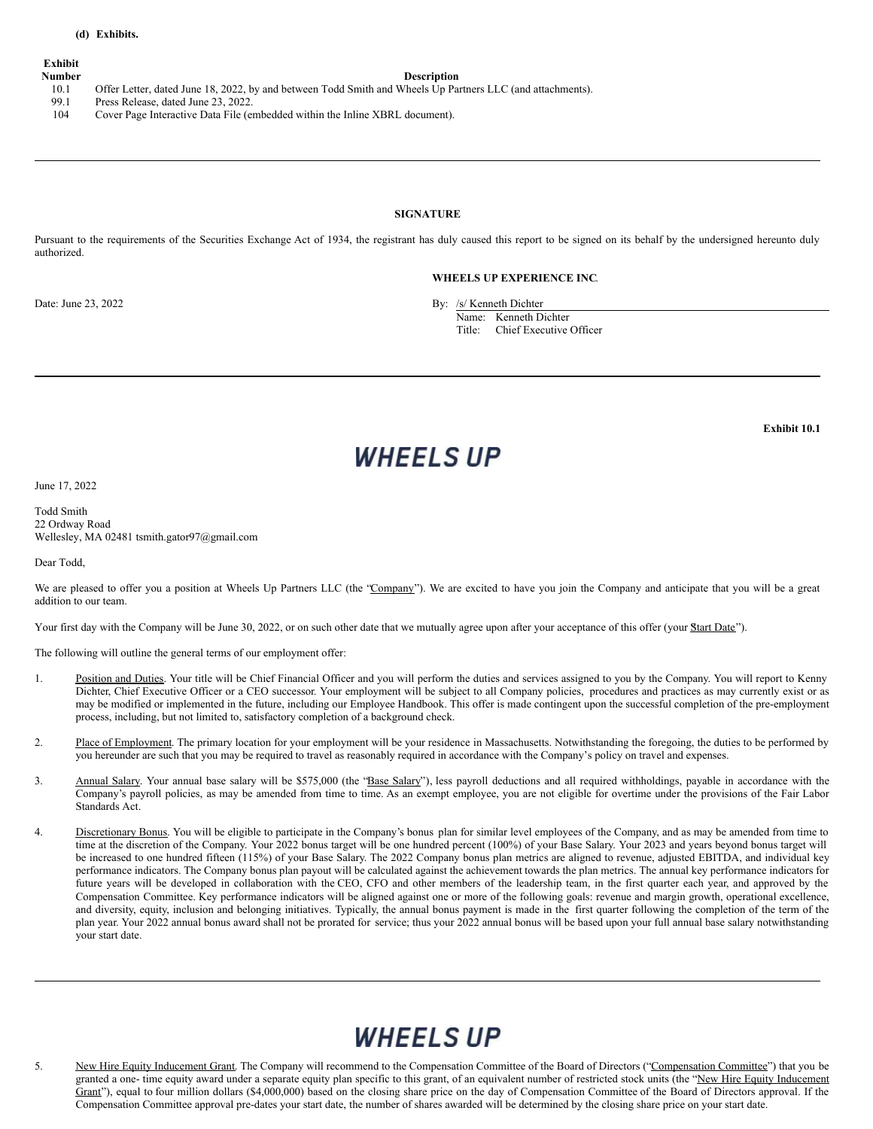### **Exhibit**

#### **Number Description**

10.1 Offer Letter, dated June 18, 2022, by and between Todd Smith and Wheels Up Partners LLC (and attachments).

- 99.1 Press Release, dated June 23, 2022.
- 104 Cover Page Interactive Data File (embedded within the Inline XBRL document).

### **SIGNATURE**

Pursuant to the requirements of the Securities Exchange Act of 1934, the registrant has duly caused this report to be signed on its behalf by the undersigned hereunto duly authorized.

#### **WHEELS UP EXPERIENCE INC**.

Date: June 23, 2022 By: /s/ Kenneth Dichter

Name: Kenneth Dichter

Title: Chief Executive Officer

**Exhibit 10.1**

# **WHEELS UP**

June 17, 2022

Todd Smith 22 Ordway Road Wellesley, MA 02481 tsmith.gator97@gmail.com

Dear Todd,

We are pleased to offer you a position at Wheels Up Partners LLC (the "Company"). We are excited to have you join the Company and anticipate that you will be a great addition to our team.

Your first day with the Company will be June 30, 2022, or on such other date that we mutually agree upon after your acceptance of this offer (your Start Date").

The following will outline the general terms of our employment offer:

- 1. Position and Duties. Your title will be Chief Financial Officer and you will perform the duties and services assigned to you by the Company. You will report to Kenny Dichter, Chief Executive Officer or a CEO successor. Your employment will be subject to all Company policies, procedures and practices as may currently exist or as may be modified or implemented in the future, including our Employee Handbook. This offer is made contingent upon the successful completion of the pre-employment process, including, but not limited to, satisfactory completion of a background check.
- 2. Place of Employment. The primary location for your employment will be your residence in Massachusetts. Notwithstanding the foregoing, the duties to be performed by you hereunder are such that you may be required to travel as reasonably required in accordance with the Company's policy on travel and expenses.
- 3. Annual Salary. Your annual base salary will be \$575,000 (the 'Base Salary'), less payroll deductions and all required withholdings, payable in accordance with the Company's payroll policies, as may be amended from time to time. As an exempt employee, you are not eligible for overtime under the provisions of the Fair Labor Standards Act.
- 4. Discretionary Bonus. You will be eligible to participate in the Company's bonus plan for similar level employees of the Company, and as may be amended from time to time at the discretion of the Company. Your 2022 bonus target will be one hundred percent (100%) of your Base Salary. Your 2023 and years beyond bonus target will be increased to one hundred fifteen (115%) of your Base Salary. The 2022 Company bonus plan metrics are aligned to revenue, adjusted EBITDA, and individual key performance indicators. The Company bonus plan payout will be calculated against the achievement towards the plan metrics. The annual key performance indicators for future years will be developed in collaboration with the CEO, CFO and other members of the leadership team, in the first quarter each year, and approved by the Compensation Committee. Key performance indicators will be aligned against one or more of the following goals: revenue and margin growth, operational excellence, and diversity, equity, inclusion and belonging initiatives. Typically, the annual bonus payment is made in the first quarter following the completion of the term of the plan year. Your 2022 annual bonus award shall not be prorated for service; thus your 2022 annual bonus will be based upon your full annual base salary notwithstanding your start date.

### **WHEELS UP**

5. New Hire Equity Inducement Grant. The Company will recommend to the Compensation Committee of the Board of Directors ("Compensation Committee") that you be granted a one- time equity award under a separate equity plan specific to this grant, of an equivalent number of restricted stock units (the "New Hire Equity Inducement Grant"), equal to four million dollars (\$4,000,000) based on the closing share price on the day of Compensation Committee of the Board of Directors approval. If the Compensation Committee approval pre-dates your start date, the number of shares awarded will be determined by the closing share price on your start date.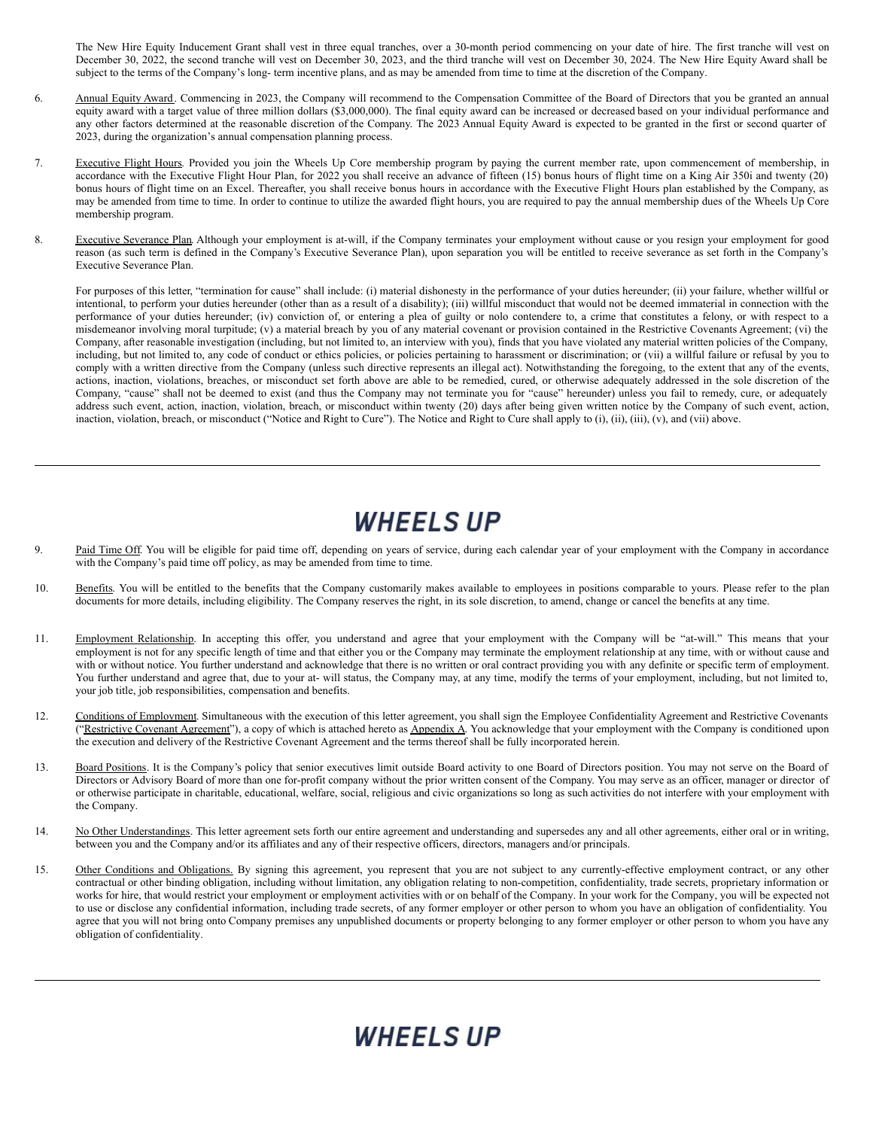The New Hire Equity Inducement Grant shall vest in three equal tranches, over a 30-month period commencing on your date of hire. The first tranche will vest on December 30, 2022, the second tranche will vest on December 30, 2023, and the third tranche will vest on December 30, 2024. The New Hire Equity Award shall be subject to the terms of the Company's long- term incentive plans, and as may be amended from time to time at the discretion of the Company.

- 6. Annual Equity Award. Commencing in 2023, the Company will recommend to the Compensation Committee of the Board of Directors that you be granted an annual equity award with a target value of three million dollars (\$3,000,000). The final equity award can be increased or decreased based on your individual performance and any other factors determined at the reasonable discretion of the Company. The 2023 Annual Equity Award is expected to be granted in the first or second quarter of 2023, during the organization's annual compensation planning process.
- 7. Executive Flight Hours. Provided you join the Wheels Up Core membership program by paying the current member rate, upon commencement of membership, in accordance with the Executive Flight Hour Plan, for 2022 you shall receive an advance of fifteen (15) bonus hours of flight time on a King Air 350i and twenty (20) bonus hours of flight time on an Excel. Thereafter, you shall receive bonus hours in accordance with the Executive Flight Hours plan established by the Company, as may be amended from time to time. In order to continue to utilize the awarded flight hours, you are required to pay the annual membership dues of the Wheels Up Core membership program.
- 8. Executive Severance Plan. Although your employment is at-will, if the Company terminates your employment without cause or you resign your employment for good reason (as such term is defined in the Company's Executive Severance Plan), upon separation you will be entitled to receive severance as set forth in the Company's Executive Severance Plan.

For purposes of this letter, "termination for cause" shall include: (i) material dishonesty in the performance of your duties hereunder; (ii) your failure, whether willful or intentional, to perform your duties hereunder (other than as a result of a disability); (iii) willful misconduct that would not be deemed immaterial in connection with the performance of your duties hereunder; (iv) conviction of, or entering a plea of guilty or nolo contendere to, a crime that constitutes a felony, or with respect to a misdemeanor involving moral turpitude; (v) a material breach by you of any material covenant or provision contained in the Restrictive Covenants Agreement; (vi) the Company, after reasonable investigation (including, but not limited to, an interview with you), finds that you have violated any material written policies of the Company, including, but not limited to, any code of conduct or ethics policies, or policies pertaining to harassment or discrimination; or (vii) a willful failure or refusal by you to comply with a written directive from the Company (unless such directive represents an illegal act). Notwithstanding the foregoing, to the extent that any of the events, actions, inaction, violations, breaches, or misconduct set forth above are able to be remedied, cured, or otherwise adequately addressed in the sole discretion of the Company, "cause" shall not be deemed to exist (and thus the Company may not terminate you for "cause" hereunder) unless you fail to remedy, cure, or adequately address such event, action, inaction, violation, breach, or misconduct within twenty (20) days after being given written notice by the Company of such event, action, inaction, violation, breach, or misconduct ("Notice and Right to Cure"). The Notice and Right to Cure shall apply to (i), (ii), (iii), (v), and (vii) above.

## **WHEELS UP**

- 9. Paid Time Off. You will be eligible for paid time off, depending on years of service, during each calendar year of your employment with the Company in accordance with the Company's paid time off policy, as may be amended from time to time.
- 10. Benefits. You will be entitled to the benefits that the Company customarily makes available to employees in positions comparable to yours. Please refer to the plan documents for more details, including eligibility. The Company reserves the right, in its sole discretion, to amend, change or cancel the benefits at any time.
- 11. Employment Relationship. In accepting this offer, you understand and agree that your employment with the Company will be "at-will." This means that your employment is not for any specific length of time and that either you or the Company may terminate the employment relationship at any time, with or without cause and with or without notice. You further understand and acknowledge that there is no written or oral contract providing you with any definite or specific term of employment. You further understand and agree that, due to your at- will status, the Company may, at any time, modify the terms of your employment, including, but not limited to, your job title, job responsibilities, compensation and benefits.
- 12. Conditions of Employment. Simultaneous with the execution of this letter agreement, you shall sign the Employee Confidentiality Agreement and Restrictive Covenants ("Restrictive Covenant Agreement"), a copy of which is attached hereto as Appendix A. You acknowledge that your employment with the Company is conditioned upon the execution and delivery of the Restrictive Covenant Agreement and the terms thereof shall be fully incorporated herein.
- 13. Board Positions. It is the Company's policy that senior executives limit outside Board activity to one Board of Directors position. You may not serve on the Board of Directors or Advisory Board of more than one for-profit company without the prior written consent of the Company. You may serve as an officer, manager or director of or otherwise participate in charitable, educational, welfare, social, religious and civic organizations so long as such activities do not interfere with your employment with the Company.
- 14. No Other Understandings. This letter agreement sets forth our entire agreement and understanding and supersedes any and all other agreements, either oral or in writing, between you and the Company and/or its affiliates and any of their respective officers, directors, managers and/or principals.
- 15. Other Conditions and Obligations. By signing this agreement, you represent that you are not subject to any currently-effective employment contract, or any other contractual or other binding obligation, including without limitation, any obligation relating to non-competition, confidentiality, trade secrets, proprietary information or works for hire, that would restrict your employment or employment activities with or on behalf of the Company. In your work for the Company, you will be expected not to use or disclose any confidential information, including trade secrets, of any former employer or other person to whom you have an obligation of confidentiality. You agree that you will not bring onto Company premises any unpublished documents or property belonging to any former employer or other person to whom you have any obligation of confidentiality.

## *WHEELS UP*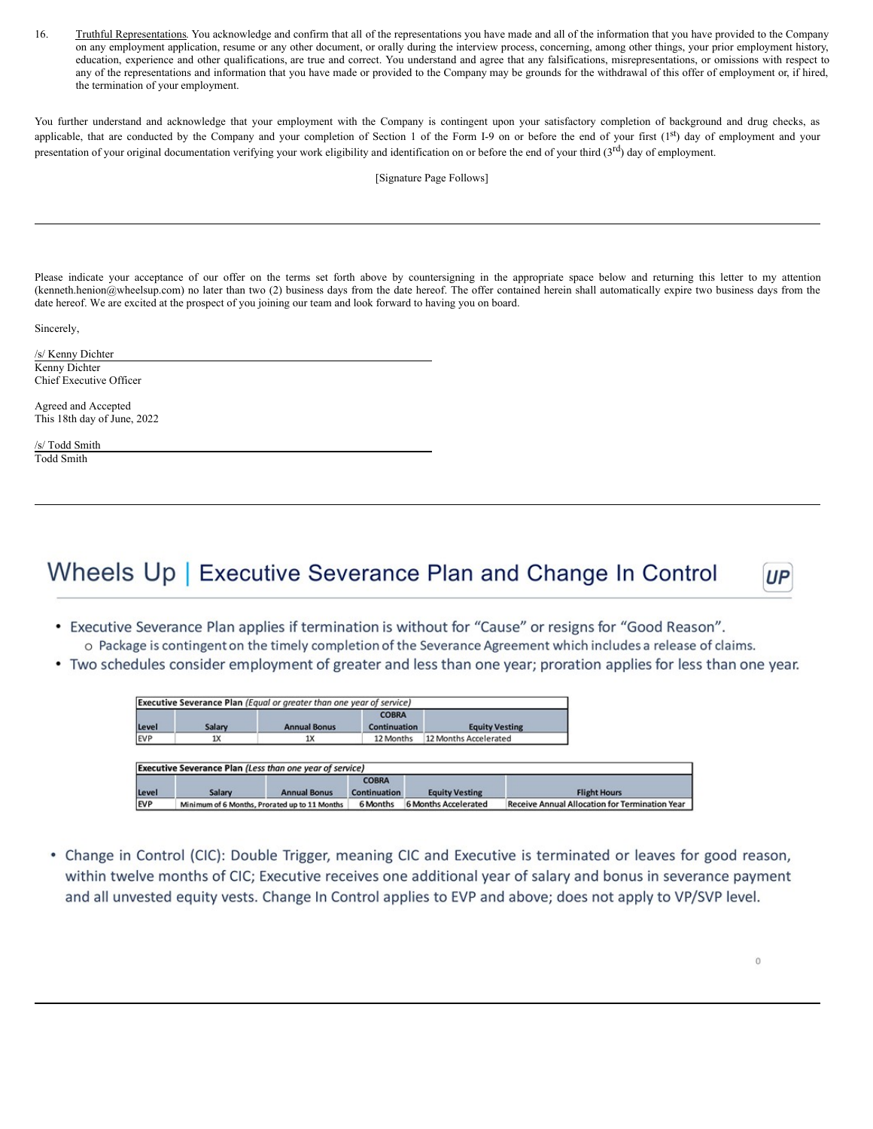16. Truthful Representations. You acknowledge and confirm that all of the representations you have made and all of the information that you have provided to the Company on any employment application, resume or any other document, or orally during the interview process, concerning, among other things, your prior employment history, education, experience and other qualifications, are true and correct. You understand and agree that any falsifications, misrepresentations, or omissions with respect to any of the representations and information that you have made or provided to the Company may be grounds for the withdrawal of this offer of employment or, if hired, the termination of your employment.

You further understand and acknowledge that your employment with the Company is contingent upon your satisfactory completion of background and drug checks, as applicable, that are conducted by the Company and your completion of Section 1 of the Form I-9 on or before the end of your first (1st) day of employment and your presentation of your original documentation verifying your work eligibility and identification on or before the end of your third (3<sup>rd</sup>) day of employment.

[Signature Page Follows]

Please indicate your acceptance of our offer on the terms set forth above by countersigning in the appropriate space below and returning this letter to my attention (kenneth.henion@wheelsup.com) no later than two (2) business days from the date hereof. The offer contained herein shall automatically expire two business days from the date hereof. We are excited at the prospect of you joining our team and look forward to having you on board.

Sincerely,

/s/ Kenny Dichter Kenny Dichter Chief Executive Officer

Agreed and Accepted This 18th day of June, 2022

/s/ Todd Smith Todd Smith

## Wheels Up | Executive Severance Plan and Change In Control

- Executive Severance Plan applies if termination is without for "Cause" or resigns for "Good Reason". o Package is contingent on the timely completion of the Severance Agreement which includes a release of claims.
- Two schedules consider employment of greater and less than one year; proration applies for less than one year.

|       | <b>Executive Severance Plan</b> (Equal or greater than one year of service) |                     | <b>COBRA</b>        |                       |                     |
|-------|-----------------------------------------------------------------------------|---------------------|---------------------|-----------------------|---------------------|
| Level | Salary                                                                      | <b>Annual Bonus</b> | <b>Continuation</b> | <b>Equity Vesting</b> |                     |
| EVP   | 1X                                                                          | 1X                  | 12 Months           | 12 Months Accelerated |                     |
|       |                                                                             |                     |                     |                       |                     |
|       | <b>Executive Severance Plan (Less than one year of service)</b>             |                     |                     |                       |                     |
|       |                                                                             |                     | <b>COBRA</b>        |                       |                     |
| Level | Salary                                                                      | <b>Annual Bonus</b> | <b>Continuation</b> | <b>Equity Vesting</b> | <b>Flight Hours</b> |

• Change in Control (CIC): Double Trigger, meaning CIC and Executive is terminated or leaves for good reason, within twelve months of CIC; Executive receives one additional year of salary and bonus in severance payment and all unvested equity vests. Change In Control applies to EVP and above; does not apply to VP/SVP level.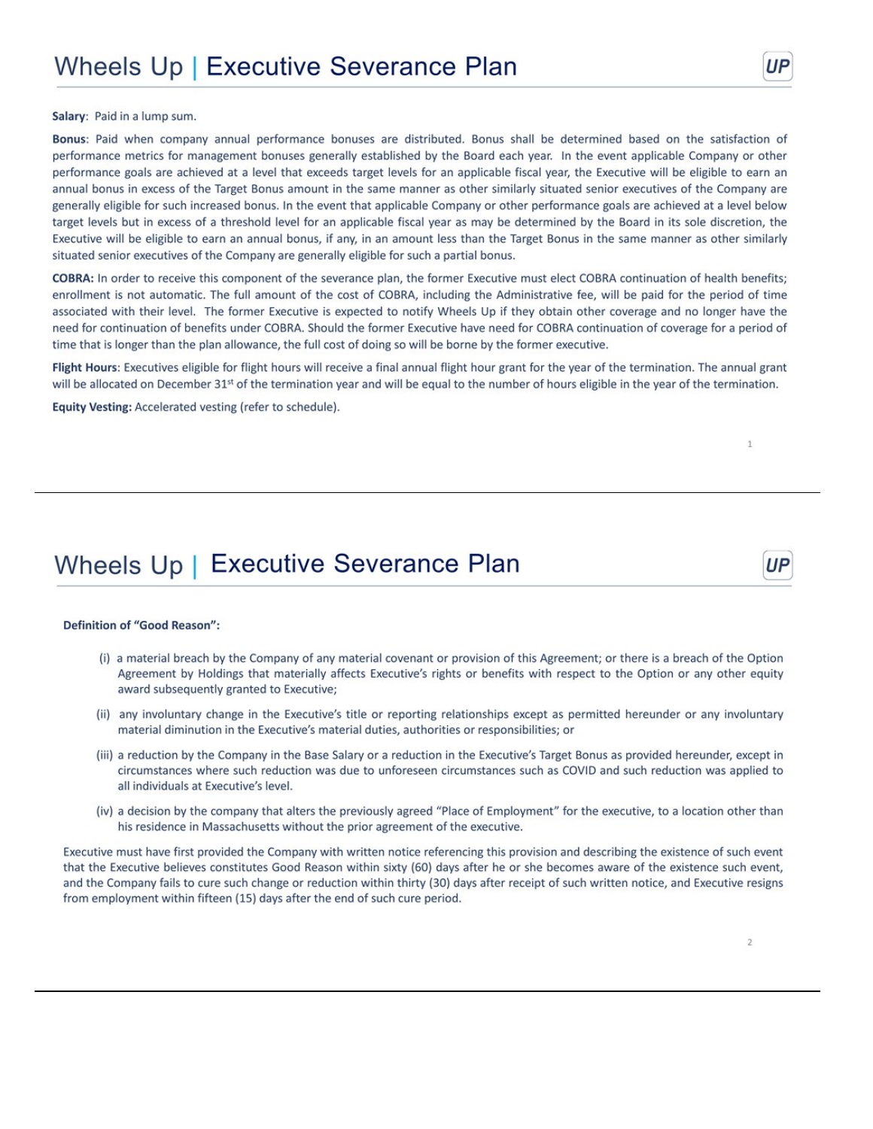Salary: Paid in a lump sum.

Bonus: Paid when company annual performance bonuses are distributed. Bonus shall be determined based on the satisfaction of performance metrics for management bonuses generally established by the Board each year. In the event applicable Company or other performance goals are achieved at a level that exceeds target levels for an applicable fiscal year, the Executive will be eligible to earn an annual bonus in excess of the Target Bonus amount in the same manner as other similarly situated senior executives of the Company are generally eligible for such increased bonus. In the event that applicable Company or other performance goals are achieved at a level below target levels but in excess of a threshold level for an applicable fiscal year as may be determined by the Board in its sole discretion, the Executive will be eligible to earn an annual bonus, if any, in an amount less than the Target Bonus in the same manner as other similarly situated senior executives of the Company are generally eligible for such a partial bonus.

COBRA: In order to receive this component of the severance plan, the former Executive must elect COBRA continuation of health benefits; enrollment is not automatic. The full amount of the cost of COBRA, including the Administrative fee, will be paid for the period of time associated with their level. The former Executive is expected to notify Wheels Up if they obtain other coverage and no longer have the need for continuation of benefits under COBRA. Should the former Executive have need for COBRA continuation of coverage for a period of time that is longer than the plan allowance, the full cost of doing so will be borne by the former executive.

Flight Hours: Executives eligible for flight hours will receive a final annual flight hour grant for the year of the termination. The annual grant will be allocated on December 31<sup>st</sup> of the termination year and will be equal to the number of hours eligible in the year of the termination.

Equity Vesting: Accelerated vesting (refer to schedule).

### Wheels Up | Executive Severance Plan

### **Definition of "Good Reason":**

- (i) a material breach by the Company of any material covenant or provision of this Agreement; or there is a breach of the Option Agreement by Holdings that materially affects Executive's rights or benefits with respect to the Option or any other equity award subsequently granted to Executive;
- (ii) any involuntary change in the Executive's title or reporting relationships except as permitted hereunder or any involuntary material diminution in the Executive's material duties, authorities or responsibilities; or
- (iii) a reduction by the Company in the Base Salary or a reduction in the Executive's Target Bonus as provided hereunder, except in circumstances where such reduction was due to unforeseen circumstances such as COVID and such reduction was applied to all individuals at Executive's level.
- (iv) a decision by the company that alters the previously agreed "Place of Employment" for the executive, to a location other than his residence in Massachusetts without the prior agreement of the executive.

Executive must have first provided the Company with written notice referencing this provision and describing the existence of such event that the Executive believes constitutes Good Reason within sixty (60) days after he or she becomes aware of the existence such event, and the Company fails to cure such change or reduction within thirty (30) days after receipt of such written notice, and Executive resigns from employment within fifteen (15) days after the end of such cure period.

 $\mathbf{1}$ 

UР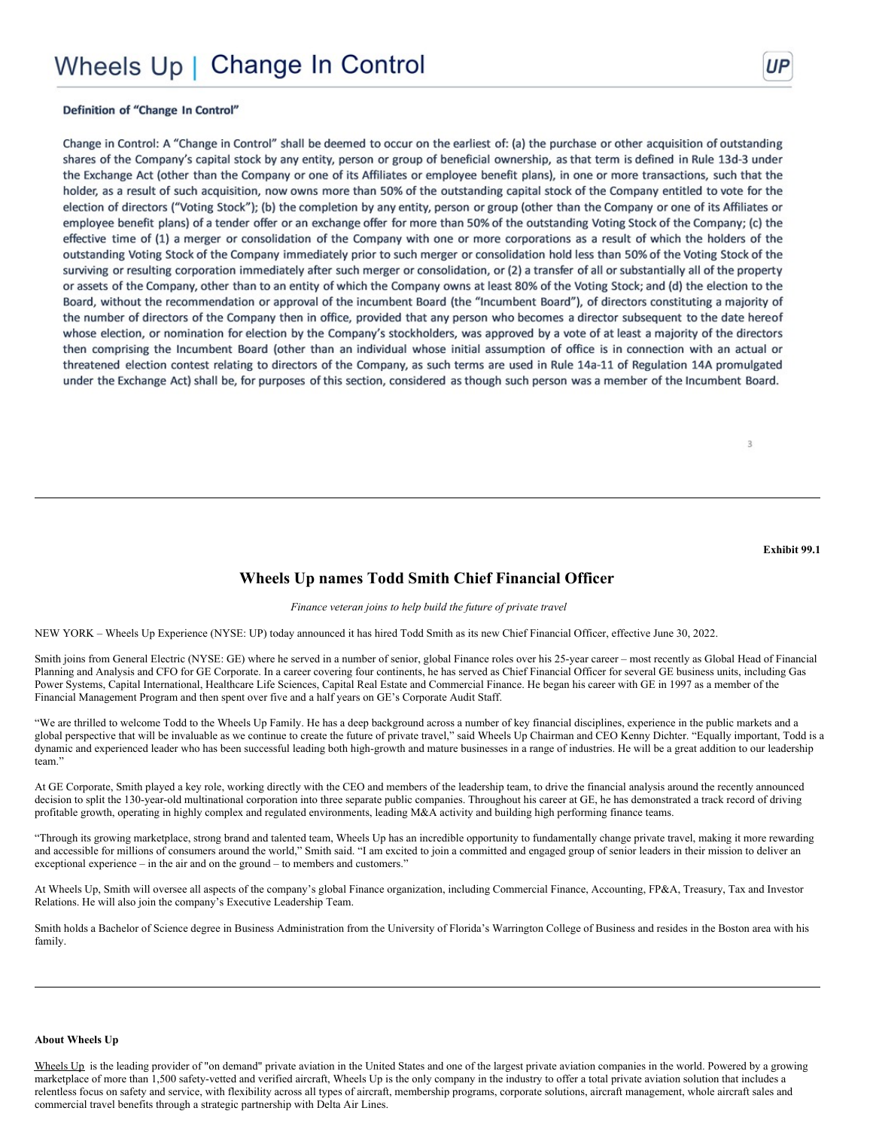### Definition of "Change In Control"

Change in Control: A "Change in Control" shall be deemed to occur on the earliest of: (a) the purchase or other acquisition of outstanding shares of the Company's capital stock by any entity, person or group of beneficial ownership, as that term is defined in Rule 13d-3 under the Exchange Act (other than the Company or one of its Affiliates or employee benefit plans), in one or more transactions, such that the holder, as a result of such acquisition, now owns more than 50% of the outstanding capital stock of the Company entitled to vote for the election of directors ("Voting Stock"); (b) the completion by any entity, person or group (other than the Company or one of its Affiliates or employee benefit plans) of a tender offer or an exchange offer for more than 50% of the outstanding Voting Stock of the Company; (c) the effective time of (1) a merger or consolidation of the Company with one or more corporations as a result of which the holders of the outstanding Voting Stock of the Company immediately prior to such merger or consolidation hold less than 50% of the Voting Stock of the surviving or resulting corporation immediately after such merger or consolidation, or (2) a transfer of all or substantially all of the property or assets of the Company, other than to an entity of which the Company owns at least 80% of the Voting Stock; and (d) the election to the Board, without the recommendation or approval of the incumbent Board (the "Incumbent Board"), of directors constituting a majority of the number of directors of the Company then in office, provided that any person who becomes a director subsequent to the date hereof whose election, or nomination for election by the Company's stockholders, was approved by a vote of at least a majority of the directors then comprising the Incumbent Board (other than an individual whose initial assumption of office is in connection with an actual or threatened election contest relating to directors of the Company, as such terms are used in Rule 14a-11 of Regulation 14A promulgated under the Exchange Act) shall be, for purposes of this section, considered as though such person was a member of the Incumbent Board.

Exhibit 99.1

3

### Wheels Up names Todd Smith Chief Financial Officer

### Finance veteran joins to help build the future of private travel

NEW YORK - Wheels Up Experience (NYSE: UP) today announced it has hired Todd Smith as its new Chief Financial Officer, effective June 30, 2022.

Smith joins from General Electric (NYSE: GE) where he served in a number of senior, global Finance roles over his 25-year career – most recently as Global Head of Financial Planning and Analysis and CFO for GE Corporate. In a career covering four continents, he has served as Chief Financial Officer for several GE business units, including Gas Power Systems, Capital International, Healthcare Life Sciences, Capital Real Estate and Commercial Finance. He began his career with GE in 1997 as a member of the Financial Management Program and then spent over five and a half years on GE's Corporate Audit Staff.

"We are thrilled to welcome Todd to the Wheels Up Family. He has a deep background across a number of key financial disciplines, experience in the public markets and a global perspective that will be invaluable as we continue to create the future of private travel," said Wheels Up Chairman and CEO Kenny Dichter. "Equally important, Todd is a dynamic and experienced leader who has been successful leading both high-growth and mature businesses in a range of industries. He will be a great addition to our leadership team."

At GE Corporate, Smith played a key role, working directly with the CEO and members of the leadership team, to drive the financial analysis around the recently announced decision to split the 130-year-old multinational corporation into three separate public companies. Throughout his career at GE, he has demonstrated a track record of driving profitable growth, operating in highly complex and regulated environments, leading M&A activity and building high performing finance teams.

"Through its growing marketplace, strong brand and talented team, Wheels Up has an incredible opportunity to fundamentally change private travel, making it more rewarding and accessible for millions of consumers around the world," Smith said. "I am excited to join a committed and engaged group of senior leaders in their mission to deliver an exceptional experience – in the air and on the ground – to members and customers."

At Wheels Up, Smith will oversee all aspects of the company's global Finance organization, including Commercial Finance, Accounting, FP&A, Treasury, Tax and Investor Relations. He will also join the company's Executive Leadership Team.

Smith holds a Bachelor of Science degree in Business Administration from the University of Florida's Warrington College of Business and resides in the Boston area with his family.

#### **About Wheels Up**

Wheels Up is the leading provider of "on demand" private aviation in the United States and one of the largest private aviation companies in the world. Powered by a growing marketplace of more than 1,500 safety-vetted and verified aircraft, Wheels Up is the only company in the industry to offer a total private aviation solution that includes a relentless focus on safety and service, with flexibility across all types of aircraft, membership programs, corporate solutions, aircraft management, whole aircraft sales and commercial travel benefits through a strategic partnership with Delta Air Lines.